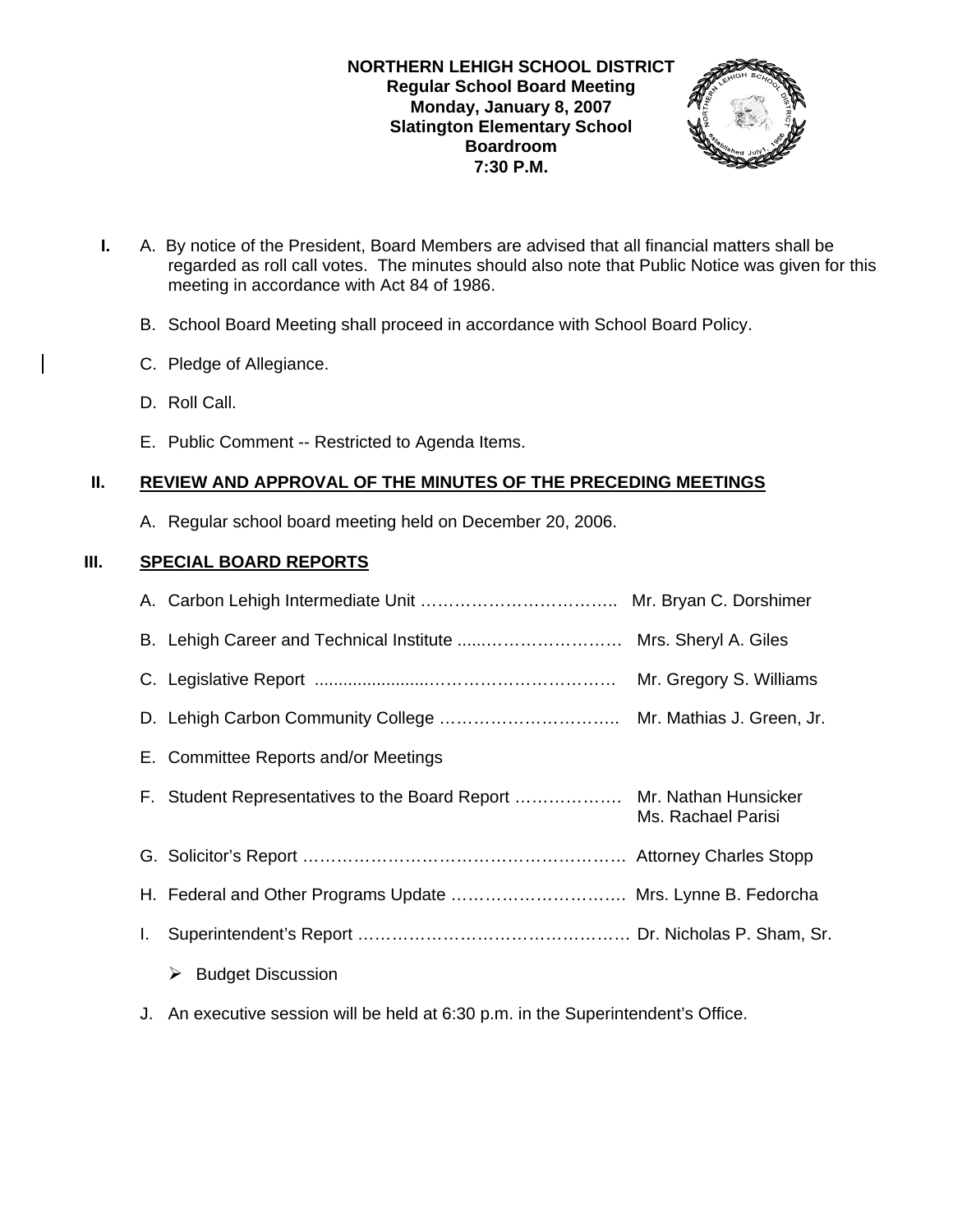

- **I.** A. By notice of the President, Board Members are advised that all financial matters shall be regarded as roll call votes. The minutes should also note that Public Notice was given for this meeting in accordance with Act 84 of 1986.
	- B. School Board Meeting shall proceed in accordance with School Board Policy.
	- C. Pledge of Allegiance.
	- D. Roll Call.
	- E. Public Comment -- Restricted to Agenda Items.

## **II. REVIEW AND APPROVAL OF THE MINUTES OF THE PRECEDING MEETINGS**

A. Regular school board meeting held on December 20, 2006.

## **III. SPECIAL BOARD REPORTS**

|    |                                                                      | Mr. Gregory S. Williams |
|----|----------------------------------------------------------------------|-------------------------|
|    |                                                                      |                         |
|    | E. Committee Reports and/or Meetings                                 |                         |
|    | F. Student Representatives to the Board Report  Mr. Nathan Hunsicker | Ms. Rachael Parisi      |
|    |                                                                      |                         |
|    | H. Federal and Other Programs Update  Mrs. Lynne B. Fedorcha         |                         |
| I. |                                                                      |                         |
|    | <b>Budget Discussion</b><br>➤                                        |                         |
|    |                                                                      |                         |

J. An executive session will be held at 6:30 p.m. in the Superintendent's Office.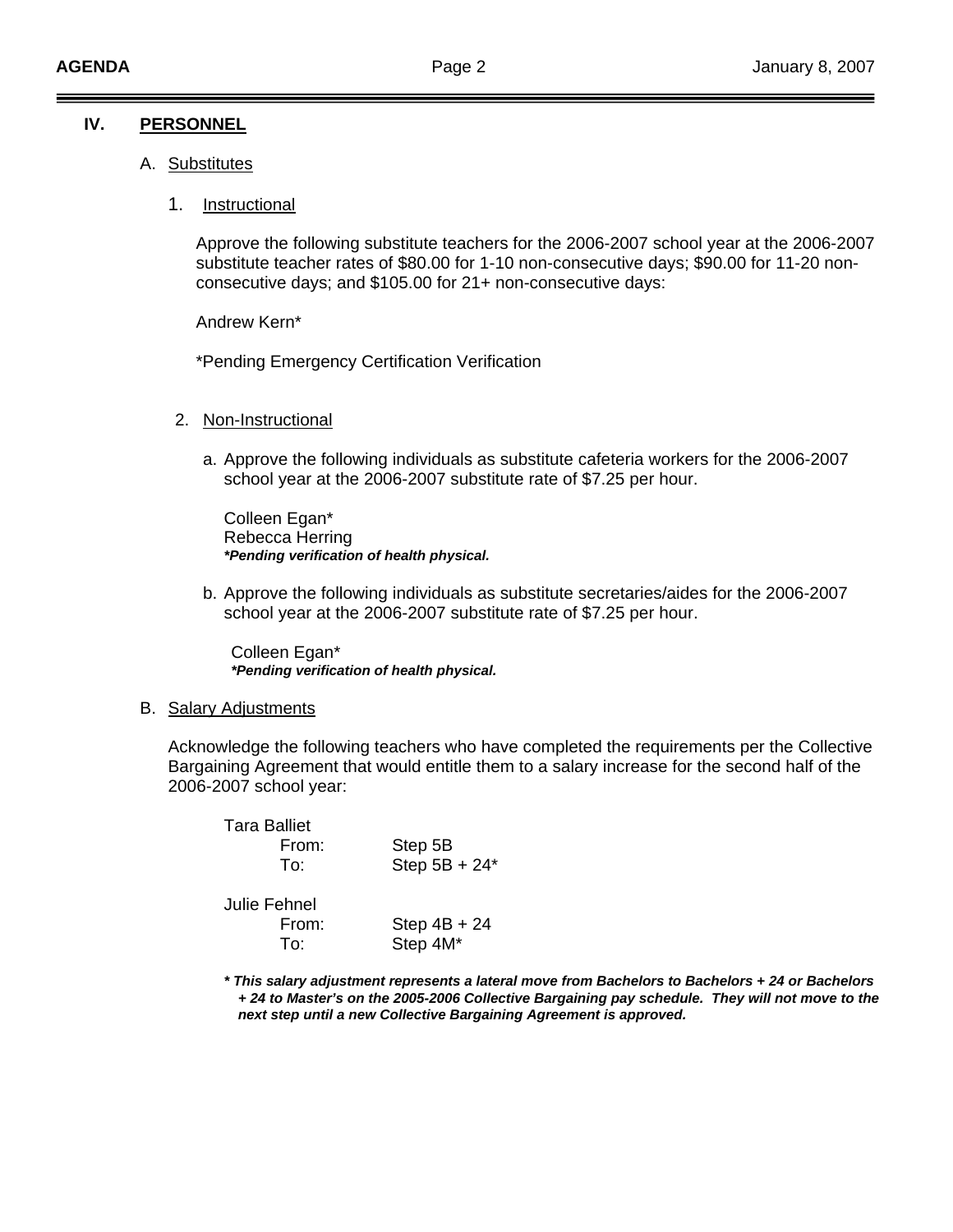### **IV. PERSONNEL**

- A. Substitutes
	- 1. Instructional

Approve the following substitute teachers for the 2006-2007 school year at the 2006-2007 substitute teacher rates of \$80.00 for 1-10 non-consecutive days; \$90.00 for 11-20 nonconsecutive days; and \$105.00 for 21+ non-consecutive days:

Andrew Kern\*

\*Pending Emergency Certification Verification

- 2. Non-Instructional
	- a. Approve the following individuals as substitute cafeteria workers for the 2006-2007 school year at the 2006-2007 substitute rate of \$7.25 per hour.

 Colleen Egan\* Rebecca Herring  *\*Pending verification of health physical.*

b. Approve the following individuals as substitute secretaries/aides for the 2006-2007 school year at the 2006-2007 substitute rate of \$7.25 per hour.

 Colleen Egan\* *\*Pending verification of health physical.*

#### B. Salary Adjustments

 Acknowledge the following teachers who have completed the requirements per the Collective Bargaining Agreement that would entitle them to a salary increase for the second half of the 2006-2007 school year:

| Tara Balliet<br>From:<br>To: | Step 5B<br>Step $5B + 24*$ |
|------------------------------|----------------------------|
| Julie Fehnel<br>From:<br>To: | Step $4B + 24$<br>Step 4M* |

*\* This salary adjustment represents a lateral move from Bachelors to Bachelors + 24 or Bachelors + 24 to Master's on the 2005-2006 Collective Bargaining pay schedule. They will not move to the next step until a new Collective Bargaining Agreement is approved.*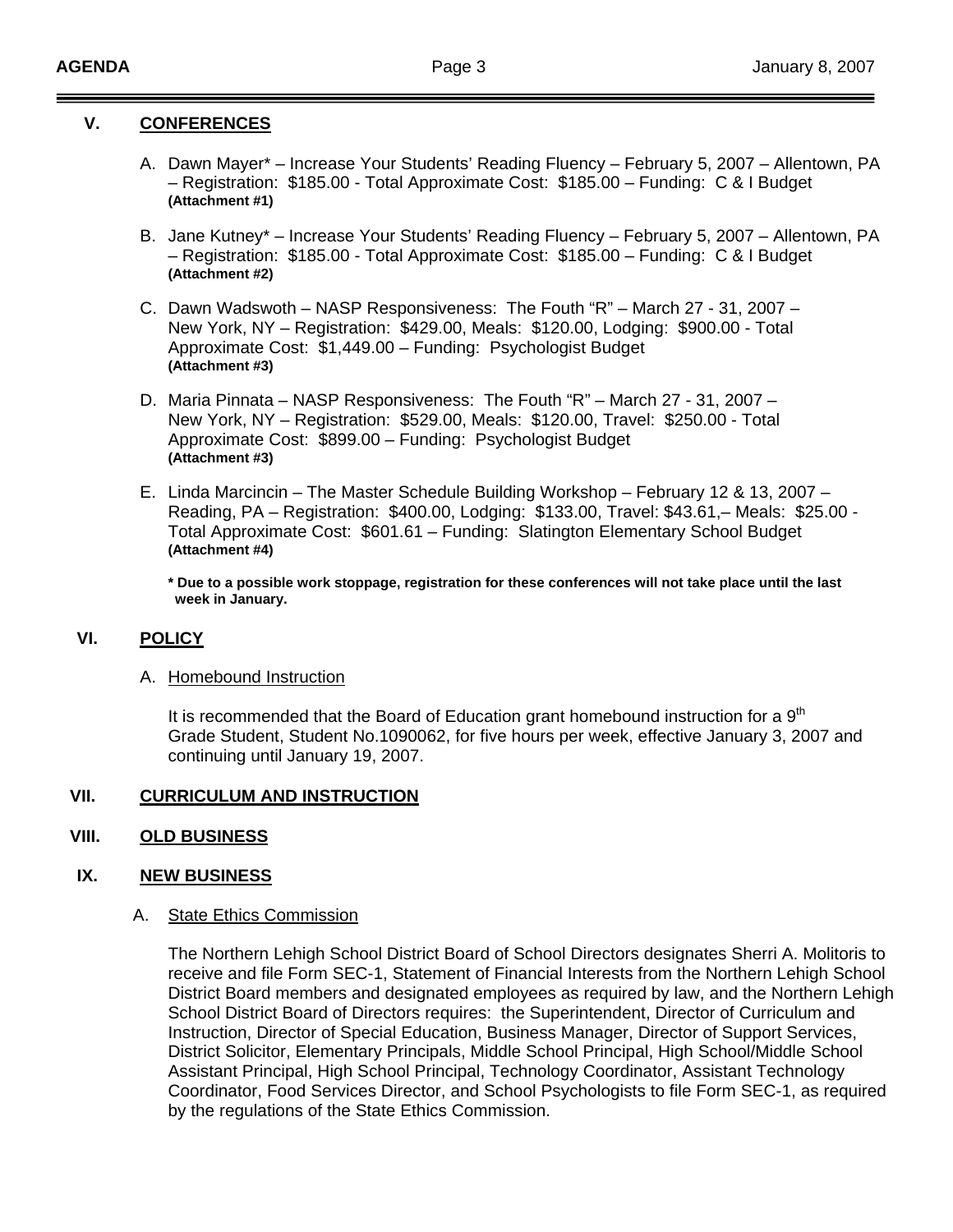### **V. CONFERENCES**

- A. Dawn Mayer\* Increase Your Students' Reading Fluency February 5, 2007 Allentown, PA – Registration: \$185.00 - Total Approximate Cost: \$185.00 – Funding: C & I Budget **(Attachment #1)**
- B. Jane Kutney\* Increase Your Students' Reading Fluency February 5, 2007 Allentown, PA – Registration: \$185.00 - Total Approximate Cost: \$185.00 – Funding: C & I Budget **(Attachment #2)**
- C. Dawn Wadswoth NASP Responsiveness: The Fouth "R" March 27 31, 2007 New York, NY – Registration: \$429.00, Meals: \$120.00, Lodging: \$900.00 - Total Approximate Cost: \$1,449.00 – Funding: Psychologist Budget **(Attachment #3)**
- D. Maria Pinnata NASP Responsiveness: The Fouth "R" March 27 31, 2007 New York, NY – Registration: \$529.00, Meals: \$120.00, Travel: \$250.00 - Total Approximate Cost: \$899.00 – Funding: Psychologist Budget **(Attachment #3)**
- E. Linda Marcincin The Master Schedule Building Workshop February 12 & 13, 2007 Reading, PA – Registration: \$400.00, Lodging: \$133.00, Travel: \$43.61,– Meals: \$25.00 - Total Approximate Cost: \$601.61 – Funding: Slatington Elementary School Budget **(Attachment #4)**

 **\* Due to a possible work stoppage, registration for these conferences will not take place until the last week in January.** 

### **VI. POLICY**

### A. Homebound Instruction

It is recommended that the Board of Education grant homebound instruction for a  $9<sup>th</sup>$ Grade Student, Student No.1090062, for five hours per week, effective January 3, 2007 and continuing until January 19, 2007.

# **VII. CURRICULUM AND INSTRUCTION**

## **VIII. OLD BUSINESS**

### **IX. NEW BUSINESS**

### A. State Ethics Commission

The Northern Lehigh School District Board of School Directors designates Sherri A. Molitoris to receive and file Form SEC-1, Statement of Financial Interests from the Northern Lehigh School District Board members and designated employees as required by law, and the Northern Lehigh School District Board of Directors requires: the Superintendent, Director of Curriculum and Instruction, Director of Special Education, Business Manager, Director of Support Services, District Solicitor, Elementary Principals, Middle School Principal, High School/Middle School Assistant Principal, High School Principal, Technology Coordinator, Assistant Technology Coordinator, Food Services Director, and School Psychologists to file Form SEC-1, as required by the regulations of the State Ethics Commission.